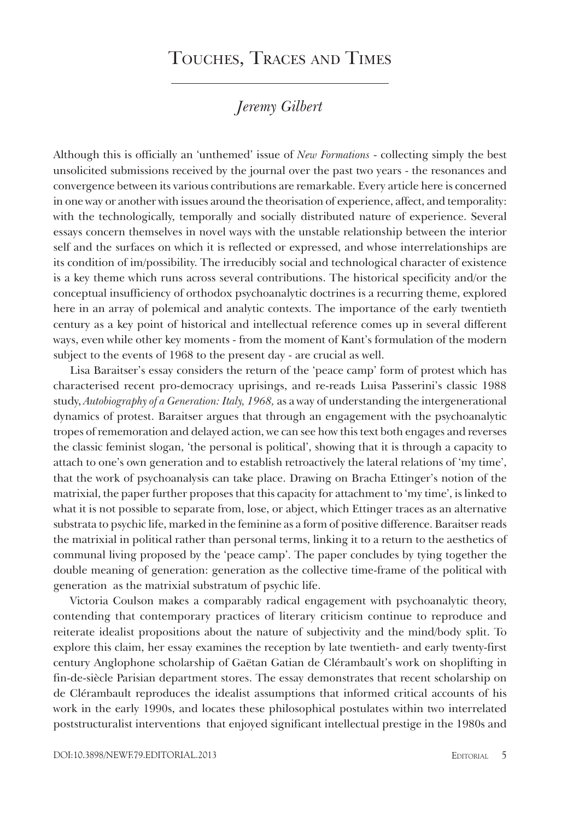## Touches, Traces and Times

## *Jeremy Gilbert*

Although this is officially an 'unthemed' issue of *New Formations* - collecting simply the best unsolicited submissions received by the journal over the past two years - the resonances and convergence between its various contributions are remarkable. Every article here is concerned in one way or another with issues around the theorisation of experience, affect, and temporality: with the technologically, temporally and socially distributed nature of experience. Several essays concern themselves in novel ways with the unstable relationship between the interior self and the surfaces on which it is reflected or expressed, and whose interrelationships are its condition of im/possibility. The irreducibly social and technological character of existence is a key theme which runs across several contributions. The historical specificity and/or the conceptual insufficiency of orthodox psychoanalytic doctrines is a recurring theme, explored here in an array of polemical and analytic contexts. The importance of the early twentieth century as a key point of historical and intellectual reference comes up in several different ways, even while other key moments - from the moment of Kant's formulation of the modern subject to the events of 1968 to the present day - are crucial as well.

Lisa Baraitser's essay considers the return of the 'peace camp' form of protest which has characterised recent pro-democracy uprisings, and re-reads Luisa Passerini's classic 1988 study, *Autobiography of a Generation: Italy, 1968,* as a way of understanding the intergenerational dynamics of protest. Baraitser argues that through an engagement with the psychoanalytic tropes of rememoration and delayed action, we can see how this text both engages and reverses the classic feminist slogan, 'the personal is political', showing that it is through a capacity to attach to one's own generation and to establish retroactively the lateral relations of 'my time', that the work of psychoanalysis can take place. Drawing on Bracha Ettinger's notion of the matrixial, the paper further proposes that this capacity for attachment to 'my time', is linked to what it is not possible to separate from, lose, or abject, which Ettinger traces as an alternative substrata to psychic life, marked in the feminine as a form of positive difference. Baraitser reads the matrixial in political rather than personal terms, linking it to a return to the aesthetics of communal living proposed by the 'peace camp'. The paper concludes by tying together the double meaning of generation: generation as the collective time-frame of the political with generation as the matrixial substratum of psychic life.

Victoria Coulson makes a comparably radical engagement with psychoanalytic theory, contending that contemporary practices of literary criticism continue to reproduce and reiterate idealist propositions about the nature of subjectivity and the mind/body split. To explore this claim, her essay examines the reception by late twentieth- and early twenty-first century Anglophone scholarship of Gaëtan Gatian de Clérambault's work on shoplifting in fin-de-siècle Parisian department stores. The essay demonstrates that recent scholarship on de Clérambault reproduces the idealist assumptions that informed critical accounts of his work in the early 1990s, and locates these philosophical postulates within two interrelated poststructuralist interventions that enjoyed significant intellectual prestige in the 1980s and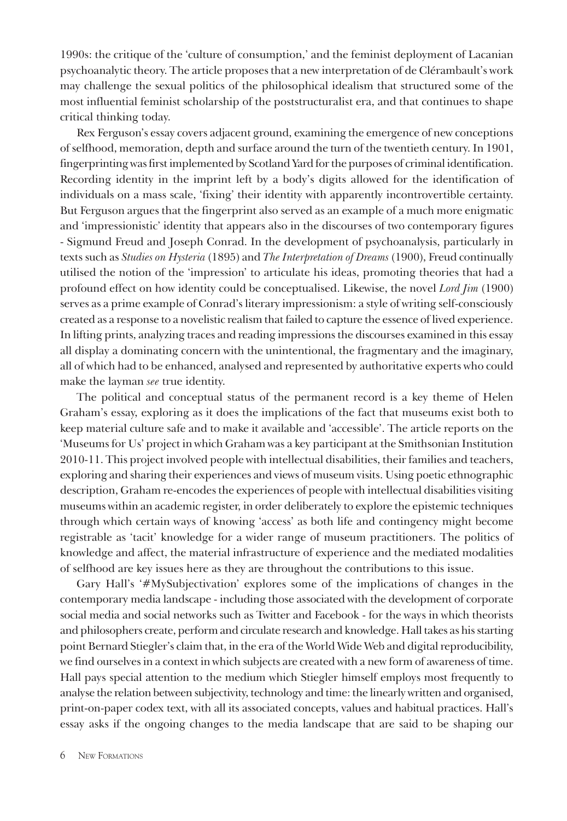1990s: the critique of the 'culture of consumption,' and the feminist deployment of Lacanian psychoanalytic theory. The article proposes that a new interpretation of de Clérambault's work may challenge the sexual politics of the philosophical idealism that structured some of the most influential feminist scholarship of the poststructuralist era, and that continues to shape critical thinking today.

Rex Ferguson's essay covers adjacent ground, examining the emergence of new conceptions of selfhood, memoration, depth and surface around the turn of the twentieth century. In 1901, fingerprinting was first implemented by Scotland Yard for the purposes of criminal identification. Recording identity in the imprint left by a body's digits allowed for the identification of individuals on a mass scale, 'fixing' their identity with apparently incontrovertible certainty. But Ferguson argues that the fingerprint also served as an example of a much more enigmatic and 'impressionistic' identity that appears also in the discourses of two contemporary figures - Sigmund Freud and Joseph Conrad. In the development of psychoanalysis, particularly in texts such as *Studies on Hysteria* (1895) and *The Interpretation of Dreams* (1900), Freud continually utilised the notion of the 'impression' to articulate his ideas, promoting theories that had a profound effect on how identity could be conceptualised. Likewise, the novel *Lord Jim* (1900) serves as a prime example of Conrad's literary impressionism: a style of writing self-consciously created as a response to a novelistic realism that failed to capture the essence of lived experience. In lifting prints, analyzing traces and reading impressions the discourses examined in this essay all display a dominating concern with the unintentional, the fragmentary and the imaginary, all of which had to be enhanced, analysed and represented by authoritative experts who could make the layman *see* true identity.

The political and conceptual status of the permanent record is a key theme of Helen Graham's essay, exploring as it does the implications of the fact that museums exist both to keep material culture safe and to make it available and 'accessible'. The article reports on the 'Museums for Us' project in which Graham was a key participant at the Smithsonian Institution 2010-11. This project involved people with intellectual disabilities, their families and teachers, exploring and sharing their experiences and views of museum visits. Using poetic ethnographic description, Graham re-encodes the experiences of people with intellectual disabilities visiting museums within an academic register, in order deliberately to explore the epistemic techniques through which certain ways of knowing 'access' as both life and contingency might become registrable as 'tacit' knowledge for a wider range of museum practitioners. The politics of knowledge and affect, the material infrastructure of experience and the mediated modalities of selfhood are key issues here as they are throughout the contributions to this issue.

Gary Hall's '#MySubjectivation' explores some of the implications of changes in the contemporary media landscape - including those associated with the development of corporate social media and social networks such as Twitter and Facebook - for the ways in which theorists and philosophers create, perform and circulate research and knowledge. Hall takes as his starting point Bernard Stiegler's claim that, in the era of the World Wide Web and digital reproducibility, we find ourselves in a context in which subjects are created with a new form of awareness of time. Hall pays special attention to the medium which Stiegler himself employs most frequently to analyse the relation between subjectivity, technology and time: the linearly written and organised, print-on-paper codex text, with all its associated concepts, values and habitual practices. Hall's essay asks if the ongoing changes to the media landscape that are said to be shaping our